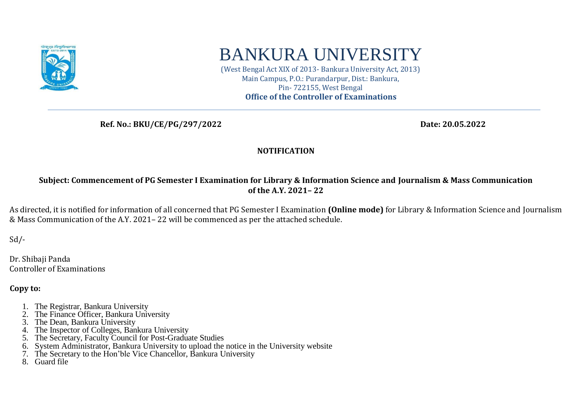

## BANKURA UNIVERSITY

(West Bengal Act XIX of 2013- Bankura University Act, 2013) Main Campus, P.O.: Purandarpur, Dist.: Bankura, Pin- 722155, West Bengal **Office of the Controller of Examinations**

 **Ref. No.: BKU/CE/PG/297/2022 Date: 20.05.2022**

## **NOTIFICATION**

## **Subject: Commencement of PG Semester I Examination for Library & Information Science and Journalism & Mass Communication of the A.Y. 2021– 22**

As directed, it is notified for information of all concerned that PG Semester I Examination **(Online mode)** for Library & Information Science and Journalism & Mass Communication of the A.Y. 2021– 22 will be commenced as per the attached schedule.

 $Sd$  /-

Dr. Shibaji Panda Controller of Examinations

**Copy to:** 

- 1. The Registrar, Bankura University
- 2. The Finance Officer, Bankura University
- 3. The Dean, Bankura University
- 4. The Inspector of Colleges, Bankura University
- 5. The Secretary, Faculty Council for Post-Graduate Studies
- 6. System Administrator, Bankura University to upload the notice in the University website
- 7. The Secretary to the Hon'ble Vice Chancellor, Bankura University
- 8. Guard file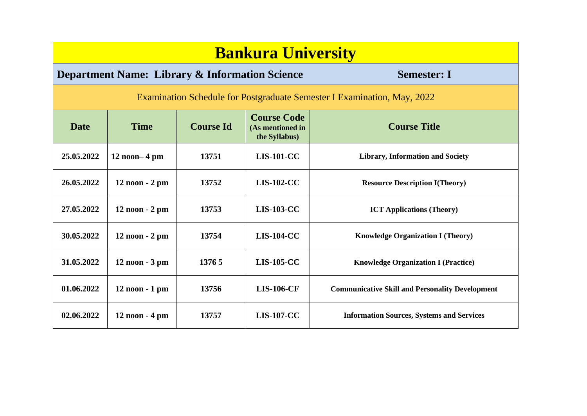| <b>Bankura University</b>                                                       |                |                  |                                                         |                                                        |  |  |  |  |
|---------------------------------------------------------------------------------|----------------|------------------|---------------------------------------------------------|--------------------------------------------------------|--|--|--|--|
| <b>Department Name: Library &amp; Information Science</b><br><b>Semester: I</b> |                |                  |                                                         |                                                        |  |  |  |  |
| Examination Schedule for Postgraduate Semester I Examination, May, 2022         |                |                  |                                                         |                                                        |  |  |  |  |
| <b>Date</b>                                                                     | <b>Time</b>    | <b>Course Id</b> | <b>Course Code</b><br>(As mentioned in<br>the Syllabus) | <b>Course Title</b>                                    |  |  |  |  |
| 25.05.2022                                                                      | $12$ noon-4 pm | 13751            | <b>LIS-101-CC</b>                                       | <b>Library, Information and Society</b>                |  |  |  |  |
| 26.05.2022                                                                      | 12 noon - 2 pm | 13752            | <b>LIS-102-CC</b>                                       | <b>Resource Description I(Theory)</b>                  |  |  |  |  |
| 27.05.2022                                                                      | 12 noon - 2 pm | 13753            | <b>LIS-103-CC</b>                                       | <b>ICT Applications (Theory)</b>                       |  |  |  |  |
| 30.05.2022                                                                      | 12 noon - 2 pm | 13754            | <b>LIS-104-CC</b>                                       | <b>Knowledge Organization I (Theory)</b>               |  |  |  |  |
| 31.05.2022                                                                      | 12 noon - 3 pm | 1376 5           | <b>LIS-105-CC</b>                                       | <b>Knowledge Organization I (Practice)</b>             |  |  |  |  |
| 01.06.2022                                                                      | 12 noon - 1 pm | 13756            | <b>LIS-106-CF</b>                                       | <b>Communicative Skill and Personality Development</b> |  |  |  |  |
| 02.06.2022                                                                      | 12 noon - 4 pm | 13757            | <b>LIS-107-CC</b>                                       | <b>Information Sources, Systems and Services</b>       |  |  |  |  |